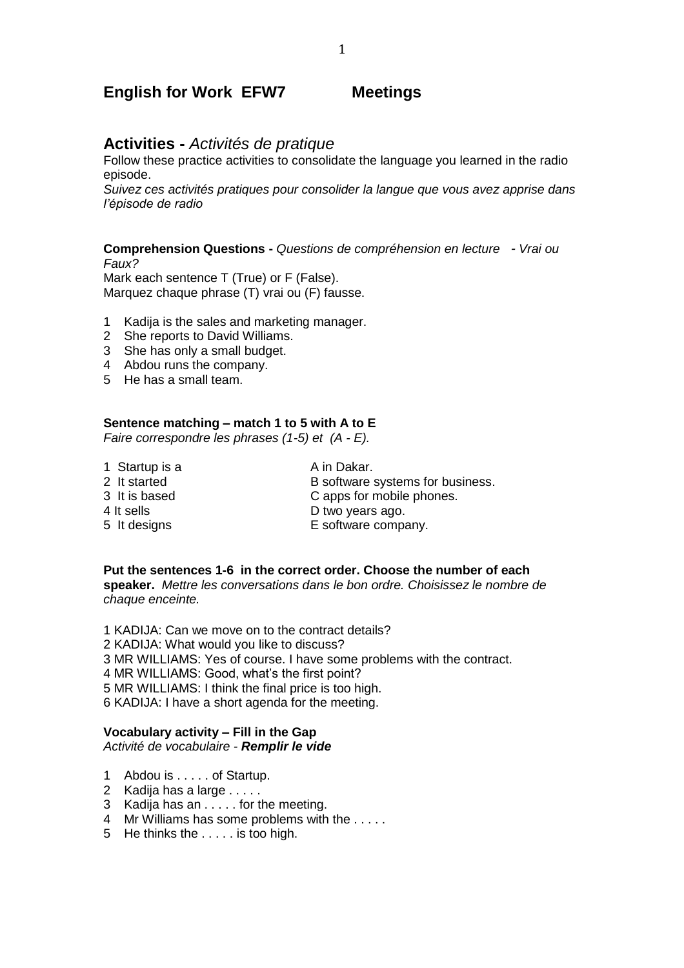## **English for Work EFW7 Meetings**

## **Activities -** *Activités de pratique*

Follow these practice activities to consolidate the language you learned in the radio episode.

*Suivez ces activités pratiques pour consolider la langue que vous avez apprise dans l'épisode de radio*

#### **Comprehension Questions -** *Questions de compréhension en lecture - Vrai ou Faux?*

Mark each sentence T (True) or F (False). Marquez chaque phrase (T) vrai ou (F) fausse.

- 1 Kadija is the sales and marketing manager.
- 2 She reports to David Williams.
- 3 She has only a small budget.
- 4 Abdou runs the company.
- 5 He has a small team.

## **Sentence matching – match 1 to 5 with A to E**

*Faire correspondre les phrases (1-5) et (A - E).*

1 Startup is a A in Dakar. 2 It started B software systems for business.<br>3 It is based C apps for mobile phones. C apps for mobile phones. 4 It sells **D** two years ago. 5 It designs E software company.

**Put the sentences 1-6 in the correct order. Choose the number of each speaker.** *Mettre les conversations dans le bon ordre. Choisissez le nombre de chaque enceinte.*

1 KADIJA: Can we move on to the contract details? KADIJA: What would you like to discuss? MR WILLIAMS: Yes of course. I have some problems with the contract. MR WILLIAMS: Good, what's the first point? MR WILLIAMS: I think the final price is too high. 6 KADIJA: I have a short agenda for the meeting.

### **Vocabulary activity – Fill in the Gap**

*Activité de vocabulaire - Remplir le vide*

- 1 Abdou is . . . . . of Startup.
- 2 Kadija has a large . . . . .
- 3 Kadija has an . . . . . for the meeting.
- 4 Mr Williams has some problems with the . . . . .
- 5 He thinks the . . . . . is too high.